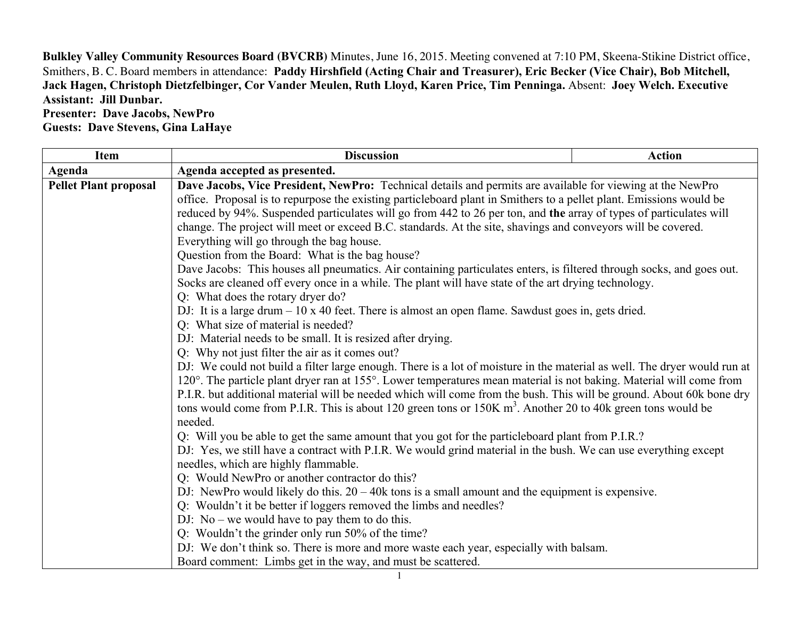**Bulkley Valley Community Resources Board (BVCRB)** Minutes, June 16, 2015. Meeting convened at 7:10 PM, Skeena-Stikine District office, Smithers, B. C. Board members in attendance: **Paddy Hirshfield (Acting Chair and Treasurer), Eric Becker (Vice Chair), Bob Mitchell, Jack Hagen, Christoph Dietzfelbinger, Cor Vander Meulen, Ruth Lloyd, Karen Price, Tim Penninga.** Absent: **Joey Welch. Executive Assistant: Jill Dunbar.**

## **Presenter: Dave Jacobs, NewPro Guests: Dave Stevens, Gina LaHaye**

| <b>Discussion</b>                                                                                                        | <b>Action</b>                                                                                                                                                                                                                                                                                                                                                                                                                                                                                                                                                                                                                                                                                                                                                                                                                                                                                                                                                                                                                                                                                |  |
|--------------------------------------------------------------------------------------------------------------------------|----------------------------------------------------------------------------------------------------------------------------------------------------------------------------------------------------------------------------------------------------------------------------------------------------------------------------------------------------------------------------------------------------------------------------------------------------------------------------------------------------------------------------------------------------------------------------------------------------------------------------------------------------------------------------------------------------------------------------------------------------------------------------------------------------------------------------------------------------------------------------------------------------------------------------------------------------------------------------------------------------------------------------------------------------------------------------------------------|--|
| Agenda accepted as presented.                                                                                            |                                                                                                                                                                                                                                                                                                                                                                                                                                                                                                                                                                                                                                                                                                                                                                                                                                                                                                                                                                                                                                                                                              |  |
| Dave Jacobs, Vice President, NewPro: Technical details and permits are available for viewing at the NewPro               |                                                                                                                                                                                                                                                                                                                                                                                                                                                                                                                                                                                                                                                                                                                                                                                                                                                                                                                                                                                                                                                                                              |  |
| office. Proposal is to repurpose the existing particleboard plant in Smithers to a pellet plant. Emissions would be      |                                                                                                                                                                                                                                                                                                                                                                                                                                                                                                                                                                                                                                                                                                                                                                                                                                                                                                                                                                                                                                                                                              |  |
| reduced by 94%. Suspended particulates will go from 442 to 26 per ton, and the array of types of particulates will       |                                                                                                                                                                                                                                                                                                                                                                                                                                                                                                                                                                                                                                                                                                                                                                                                                                                                                                                                                                                                                                                                                              |  |
| change. The project will meet or exceed B.C. standards. At the site, shavings and conveyors will be covered.             |                                                                                                                                                                                                                                                                                                                                                                                                                                                                                                                                                                                                                                                                                                                                                                                                                                                                                                                                                                                                                                                                                              |  |
| Everything will go through the bag house.                                                                                |                                                                                                                                                                                                                                                                                                                                                                                                                                                                                                                                                                                                                                                                                                                                                                                                                                                                                                                                                                                                                                                                                              |  |
| Question from the Board: What is the bag house?                                                                          |                                                                                                                                                                                                                                                                                                                                                                                                                                                                                                                                                                                                                                                                                                                                                                                                                                                                                                                                                                                                                                                                                              |  |
| Dave Jacobs: This houses all pneumatics. Air containing particulates enters, is filtered through socks, and goes out.    |                                                                                                                                                                                                                                                                                                                                                                                                                                                                                                                                                                                                                                                                                                                                                                                                                                                                                                                                                                                                                                                                                              |  |
| Socks are cleaned off every once in a while. The plant will have state of the art drying technology.                     |                                                                                                                                                                                                                                                                                                                                                                                                                                                                                                                                                                                                                                                                                                                                                                                                                                                                                                                                                                                                                                                                                              |  |
|                                                                                                                          |                                                                                                                                                                                                                                                                                                                                                                                                                                                                                                                                                                                                                                                                                                                                                                                                                                                                                                                                                                                                                                                                                              |  |
| DJ: It is a large drum – 10 x 40 feet. There is almost an open flame. Sawdust goes in, gets dried.                       |                                                                                                                                                                                                                                                                                                                                                                                                                                                                                                                                                                                                                                                                                                                                                                                                                                                                                                                                                                                                                                                                                              |  |
|                                                                                                                          |                                                                                                                                                                                                                                                                                                                                                                                                                                                                                                                                                                                                                                                                                                                                                                                                                                                                                                                                                                                                                                                                                              |  |
|                                                                                                                          |                                                                                                                                                                                                                                                                                                                                                                                                                                                                                                                                                                                                                                                                                                                                                                                                                                                                                                                                                                                                                                                                                              |  |
|                                                                                                                          |                                                                                                                                                                                                                                                                                                                                                                                                                                                                                                                                                                                                                                                                                                                                                                                                                                                                                                                                                                                                                                                                                              |  |
| DJ: We could not build a filter large enough. There is a lot of moisture in the material as well. The dryer would run at |                                                                                                                                                                                                                                                                                                                                                                                                                                                                                                                                                                                                                                                                                                                                                                                                                                                                                                                                                                                                                                                                                              |  |
| 120°. The particle plant dryer ran at 155°. Lower temperatures mean material is not baking. Material will come from      |                                                                                                                                                                                                                                                                                                                                                                                                                                                                                                                                                                                                                                                                                                                                                                                                                                                                                                                                                                                                                                                                                              |  |
| P.I.R. but additional material will be needed which will come from the bush. This will be ground. About 60k bone dry     |                                                                                                                                                                                                                                                                                                                                                                                                                                                                                                                                                                                                                                                                                                                                                                                                                                                                                                                                                                                                                                                                                              |  |
|                                                                                                                          |                                                                                                                                                                                                                                                                                                                                                                                                                                                                                                                                                                                                                                                                                                                                                                                                                                                                                                                                                                                                                                                                                              |  |
|                                                                                                                          |                                                                                                                                                                                                                                                                                                                                                                                                                                                                                                                                                                                                                                                                                                                                                                                                                                                                                                                                                                                                                                                                                              |  |
|                                                                                                                          |                                                                                                                                                                                                                                                                                                                                                                                                                                                                                                                                                                                                                                                                                                                                                                                                                                                                                                                                                                                                                                                                                              |  |
|                                                                                                                          |                                                                                                                                                                                                                                                                                                                                                                                                                                                                                                                                                                                                                                                                                                                                                                                                                                                                                                                                                                                                                                                                                              |  |
|                                                                                                                          |                                                                                                                                                                                                                                                                                                                                                                                                                                                                                                                                                                                                                                                                                                                                                                                                                                                                                                                                                                                                                                                                                              |  |
|                                                                                                                          |                                                                                                                                                                                                                                                                                                                                                                                                                                                                                                                                                                                                                                                                                                                                                                                                                                                                                                                                                                                                                                                                                              |  |
|                                                                                                                          |                                                                                                                                                                                                                                                                                                                                                                                                                                                                                                                                                                                                                                                                                                                                                                                                                                                                                                                                                                                                                                                                                              |  |
|                                                                                                                          |                                                                                                                                                                                                                                                                                                                                                                                                                                                                                                                                                                                                                                                                                                                                                                                                                                                                                                                                                                                                                                                                                              |  |
|                                                                                                                          |                                                                                                                                                                                                                                                                                                                                                                                                                                                                                                                                                                                                                                                                                                                                                                                                                                                                                                                                                                                                                                                                                              |  |
|                                                                                                                          |                                                                                                                                                                                                                                                                                                                                                                                                                                                                                                                                                                                                                                                                                                                                                                                                                                                                                                                                                                                                                                                                                              |  |
|                                                                                                                          |                                                                                                                                                                                                                                                                                                                                                                                                                                                                                                                                                                                                                                                                                                                                                                                                                                                                                                                                                                                                                                                                                              |  |
|                                                                                                                          | Q: What does the rotary dryer do?<br>Q: What size of material is needed?<br>DJ: Material needs to be small. It is resized after drying.<br>Q: Why not just filter the air as it comes out?<br>tons would come from P.I.R. This is about 120 green tons or $150K \text{ m}^3$ . Another 20 to 40k green tons would be<br>needed.<br>Q: Will you be able to get the same amount that you got for the particleboard plant from P.I.R.?<br>DJ: Yes, we still have a contract with P.I.R. We would grind material in the bush. We can use everything except<br>needles, which are highly flammable.<br>Q: Would NewPro or another contractor do this?<br>DJ: NewPro would likely do this. $20 - 40k$ tons is a small amount and the equipment is expensive.<br>Q: Wouldn't it be better if loggers removed the limbs and needles?<br>DJ: No – we would have to pay them to do this.<br>Q: Wouldn't the grinder only run 50% of the time?<br>DJ: We don't think so. There is more and more waste each year, especially with balsam.<br>Board comment: Limbs get in the way, and must be scattered. |  |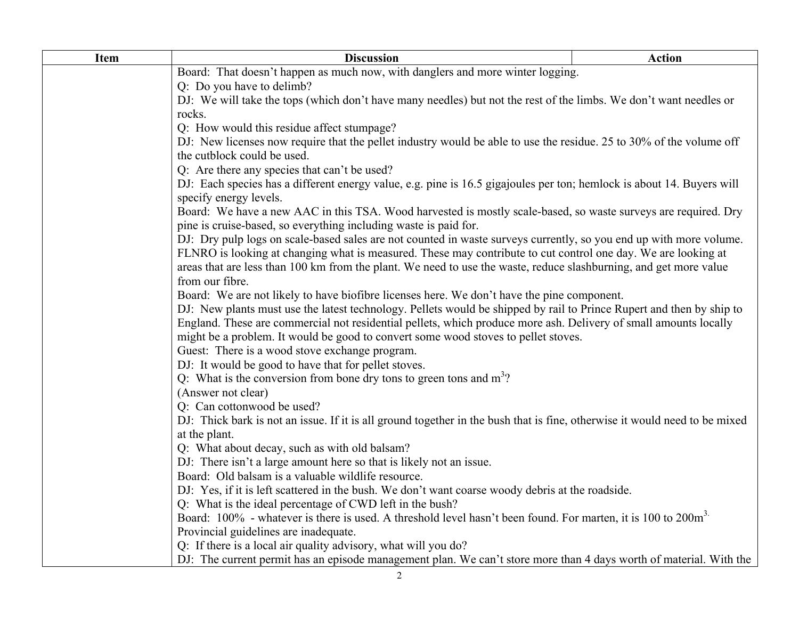| <b>Item</b> | <b>Discussion</b>                                                                                                                                                                  | <b>Action</b> |  |
|-------------|------------------------------------------------------------------------------------------------------------------------------------------------------------------------------------|---------------|--|
|             | Board: That doesn't happen as much now, with danglers and more winter logging.                                                                                                     |               |  |
|             | Q: Do you have to delimb?                                                                                                                                                          |               |  |
|             | DJ: We will take the tops (which don't have many needles) but not the rest of the limbs. We don't want needles or                                                                  |               |  |
|             | rocks.                                                                                                                                                                             |               |  |
|             | Q: How would this residue affect stumpage?                                                                                                                                         |               |  |
|             | DJ: New licenses now require that the pellet industry would be able to use the residue. 25 to 30% of the volume off                                                                |               |  |
|             | the cutblock could be used.                                                                                                                                                        |               |  |
|             | Q: Are there any species that can't be used?                                                                                                                                       |               |  |
|             | DJ: Each species has a different energy value, e.g. pine is 16.5 gigajoules per ton; hemlock is about 14. Buyers will                                                              |               |  |
|             | specify energy levels.                                                                                                                                                             |               |  |
|             | Board: We have a new AAC in this TSA. Wood harvested is mostly scale-based, so waste surveys are required. Dry<br>pine is cruise-based, so everything including waste is paid for. |               |  |
|             | DJ: Dry pulp logs on scale-based sales are not counted in waste surveys currently, so you end up with more volume.                                                                 |               |  |
|             | FLNRO is looking at changing what is measured. These may contribute to cut control one day. We are looking at                                                                      |               |  |
|             | areas that are less than 100 km from the plant. We need to use the waste, reduce slashburning, and get more value                                                                  |               |  |
|             | from our fibre.                                                                                                                                                                    |               |  |
|             | Board: We are not likely to have biofibre licenses here. We don't have the pine component.                                                                                         |               |  |
|             | DJ: New plants must use the latest technology. Pellets would be shipped by rail to Prince Rupert and then by ship to                                                               |               |  |
|             | England. These are commercial not residential pellets, which produce more ash. Delivery of small amounts locally                                                                   |               |  |
|             | might be a problem. It would be good to convert some wood stoves to pellet stoves.                                                                                                 |               |  |
|             | Guest: There is a wood stove exchange program.                                                                                                                                     |               |  |
|             | DJ: It would be good to have that for pellet stoves.                                                                                                                               |               |  |
|             | Q: What is the conversion from bone dry tons to green tons and $m3$ ?                                                                                                              |               |  |
|             | (Answer not clear)                                                                                                                                                                 |               |  |
|             | Q: Can cottonwood be used?                                                                                                                                                         |               |  |
|             | DJ: Thick bark is not an issue. If it is all ground together in the bush that is fine, otherwise it would need to be mixed                                                         |               |  |
|             | at the plant.                                                                                                                                                                      |               |  |
|             | Q: What about decay, such as with old balsam?                                                                                                                                      |               |  |
|             | DJ: There isn't a large amount here so that is likely not an issue.                                                                                                                |               |  |
|             | Board: Old balsam is a valuable wildlife resource.                                                                                                                                 |               |  |
|             | DJ: Yes, if it is left scattered in the bush. We don't want coarse woody debris at the roadside.                                                                                   |               |  |
|             | Q: What is the ideal percentage of CWD left in the bush?                                                                                                                           |               |  |
|             | Board: 100% - whatever is there is used. A threshold level hasn't been found. For marten, it is 100 to 200m <sup>3.</sup>                                                          |               |  |
|             | Provincial guidelines are inadequate.                                                                                                                                              |               |  |
|             | Q: If there is a local air quality advisory, what will you do?                                                                                                                     |               |  |
|             | DJ: The current permit has an episode management plan. We can't store more than 4 days worth of material. With the                                                                 |               |  |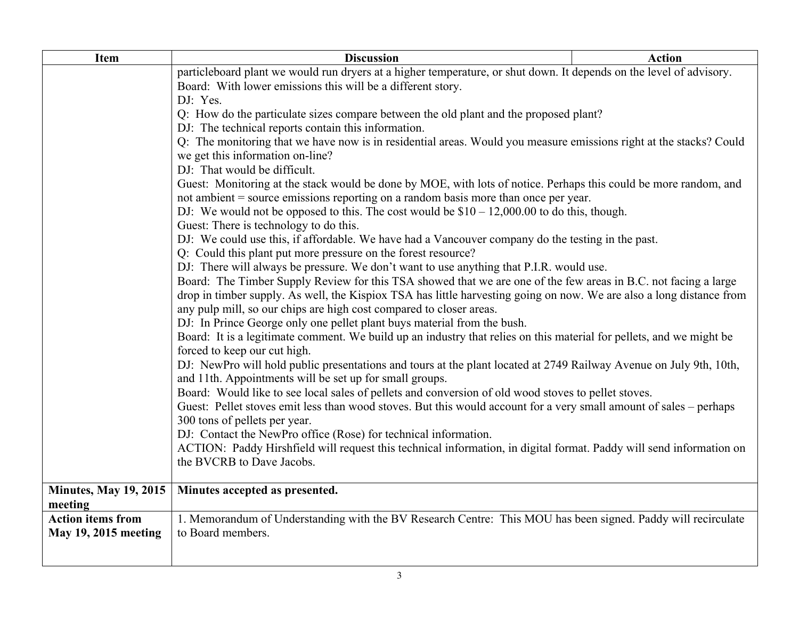| <b>Item</b>                  | <b>Discussion</b>                                                                                                                                                             | <b>Action</b> |  |
|------------------------------|-------------------------------------------------------------------------------------------------------------------------------------------------------------------------------|---------------|--|
|                              | particleboard plant we would run dryers at a higher temperature, or shut down. It depends on the level of advisory.                                                           |               |  |
|                              | Board: With lower emissions this will be a different story.                                                                                                                   |               |  |
|                              | DJ: Yes.                                                                                                                                                                      |               |  |
|                              | Q: How do the particulate sizes compare between the old plant and the proposed plant?                                                                                         |               |  |
|                              | DJ: The technical reports contain this information.                                                                                                                           |               |  |
|                              | Q: The monitoring that we have now is in residential areas. Would you measure emissions right at the stacks? Could                                                            |               |  |
|                              | we get this information on-line?                                                                                                                                              |               |  |
|                              | DJ: That would be difficult.                                                                                                                                                  |               |  |
|                              | Guest: Monitoring at the stack would be done by MOE, with lots of notice. Perhaps this could be more random, and                                                              |               |  |
|                              | not ambient = source emissions reporting on a random basis more than once per year.                                                                                           |               |  |
|                              | DJ: We would not be opposed to this. The cost would be $$10 - 12,000.00$ to do this, though.                                                                                  |               |  |
|                              | Guest: There is technology to do this.<br>DJ: We could use this, if affordable. We have had a Vancouver company do the testing in the past.                                   |               |  |
|                              | Q: Could this plant put more pressure on the forest resource?                                                                                                                 |               |  |
|                              | DJ: There will always be pressure. We don't want to use anything that P.I.R. would use.                                                                                       |               |  |
|                              | Board: The Timber Supply Review for this TSA showed that we are one of the few areas in B.C. not facing a large                                                               |               |  |
|                              | drop in timber supply. As well, the Kispiox TSA has little harvesting going on now. We are also a long distance from                                                          |               |  |
|                              | any pulp mill, so our chips are high cost compared to closer areas.                                                                                                           |               |  |
|                              | DJ: In Prince George only one pellet plant buys material from the bush.                                                                                                       |               |  |
|                              | Board: It is a legitimate comment. We build up an industry that relies on this material for pellets, and we might be                                                          |               |  |
|                              | forced to keep our cut high.                                                                                                                                                  |               |  |
|                              | DJ: NewPro will hold public presentations and tours at the plant located at 2749 Railway Avenue on July 9th, 10th,<br>and 11th. Appointments will be set up for small groups. |               |  |
|                              | Board: Would like to see local sales of pellets and conversion of old wood stoves to pellet stoves.                                                                           |               |  |
|                              | Guest: Pellet stoves emit less than wood stoves. But this would account for a very small amount of sales – perhaps                                                            |               |  |
|                              | 300 tons of pellets per year.                                                                                                                                                 |               |  |
|                              | DJ: Contact the NewPro office (Rose) for technical information.                                                                                                               |               |  |
|                              | ACTION: Paddy Hirshfield will request this technical information, in digital format. Paddy will send information on                                                           |               |  |
|                              | the BVCRB to Dave Jacobs.                                                                                                                                                     |               |  |
|                              |                                                                                                                                                                               |               |  |
| <b>Minutes, May 19, 2015</b> | Minutes accepted as presented.                                                                                                                                                |               |  |
| meeting                      |                                                                                                                                                                               |               |  |
| <b>Action items from</b>     | 1. Memorandum of Understanding with the BV Research Centre: This MOU has been signed. Paddy will recirculate                                                                  |               |  |
| <b>May 19, 2015 meeting</b>  | to Board members.                                                                                                                                                             |               |  |
|                              |                                                                                                                                                                               |               |  |